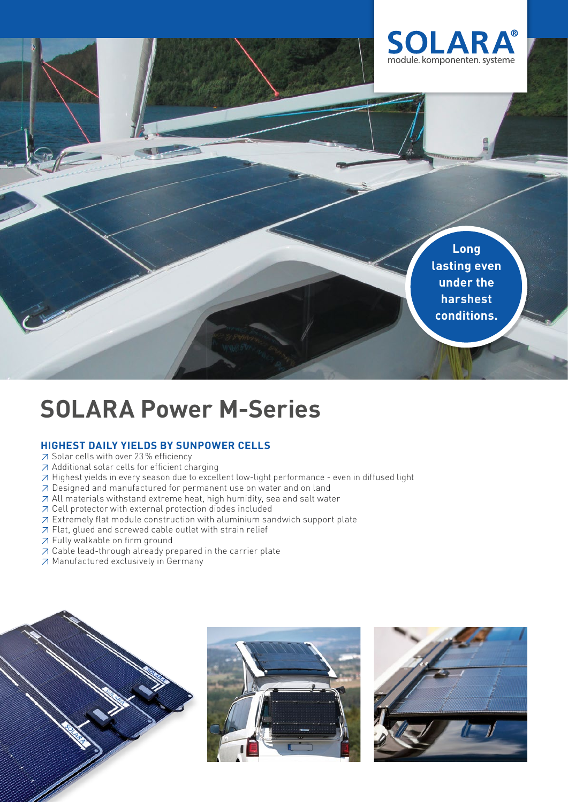

**Long lasting even under the harshest conditions.**

# **SOLARA Power M-Series**

## **HIGHEST DAILY YIELDS BY SUNPOWER CELLS**

- ≥ Solar cells with over 23 % efficiency
- ≥ Additional solar cells for efficient charging
- ≥ Highest yields in every season due to excellent low-light performance even in diffused light
- ≥ Designed and manufactured for permanent use on water and on land
- ≥ All materials withstand extreme heat, high humidity, sea and salt water
- ≥ Cell protector with external protection diodes included
- ≥ Extremely flat module construction with aluminium sandwich support plate
- ≥ Flat, glued and screwed cable outlet with strain relief
- ≥ Fully walkable on firm ground
- ≥ Cable lead-through already prepared in the carrier plate
- ≥ Manufactured exclusively in Germany